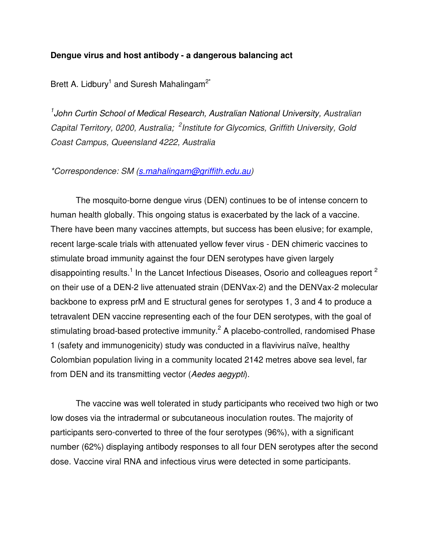## **Dengue virus and host antibody - a dangerous balancing act**

Brett A. Lidbury<sup>1</sup> and Suresh Mahalingam<sup>2\*</sup>

<sup>1</sup> John Curtin School of Medical Research, Australian National University, Australian *Capital Territory, 0200, Australia; <sup>2</sup> Institute for Glycomics, Griffith University, Gold Coast Campus, Queensland 4222, Australia*

*\*Correspondence: SM (s.mahalingam@griffith.edu.au)* 

The mosquito-borne dengue virus (DEN) continues to be of intense concern to human health globally. This ongoing status is exacerbated by the lack of a vaccine. There have been many vaccines attempts, but success has been elusive; for example, recent large-scale trials with attenuated yellow fever virus - DEN chimeric vaccines to stimulate broad immunity against the four DEN serotypes have given largely disappointing results.<sup>1</sup> In the Lancet Infectious Diseases, Osorio and colleagues report <sup>2</sup> on their use of a DEN-2 live attenuated strain (DENVax-2) and the DENVax-2 molecular backbone to express prM and E structural genes for serotypes 1, 3 and 4 to produce a tetravalent DEN vaccine representing each of the four DEN serotypes, with the goal of stimulating broad-based protective immunity.<sup>2</sup> A placebo-controlled, randomised Phase 1 (safety and immunogenicity) study was conducted in a flavivirus naïve, healthy Colombian population living in a community located 2142 metres above sea level, far from DEN and its transmitting vector (*Aedes aegypti*).

The vaccine was well tolerated in study participants who received two high or two low doses via the intradermal or subcutaneous inoculation routes. The majority of participants sero-converted to three of the four serotypes (96%), with a significant number (62%) displaying antibody responses to all four DEN serotypes after the second dose. Vaccine viral RNA and infectious virus were detected in some participants.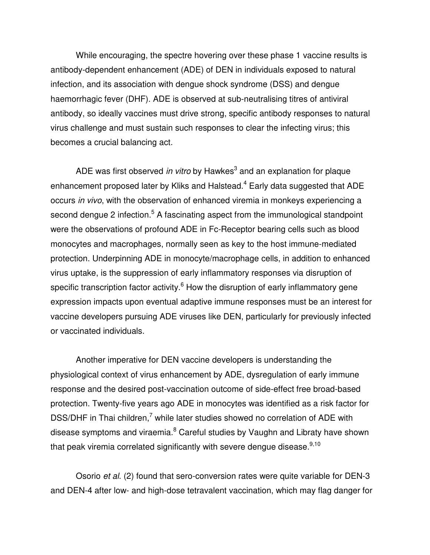While encouraging, the spectre hovering over these phase 1 vaccine results is antibody-dependent enhancement (ADE) of DEN in individuals exposed to natural infection, and its association with dengue shock syndrome (DSS) and dengue haemorrhagic fever (DHF). ADE is observed at sub-neutralising titres of antiviral antibody, so ideally vaccines must drive strong, specific antibody responses to natural virus challenge and must sustain such responses to clear the infecting virus; this becomes a crucial balancing act.

ADE was first observed *in vitro* by Hawkes<sup>3</sup> and an explanation for plaque enhancement proposed later by Kliks and Halstead.<sup>4</sup> Early data suggested that ADE occurs *in vivo*, with the observation of enhanced viremia in monkeys experiencing a second dengue 2 infection.<sup>5</sup> A fascinating aspect from the immunological standpoint were the observations of profound ADE in Fc-Receptor bearing cells such as blood monocytes and macrophages, normally seen as key to the host immune-mediated protection. Underpinning ADE in monocyte/macrophage cells, in addition to enhanced virus uptake, is the suppression of early inflammatory responses via disruption of specific transcription factor activity.<sup>6</sup> How the disruption of early inflammatory gene expression impacts upon eventual adaptive immune responses must be an interest for vaccine developers pursuing ADE viruses like DEN, particularly for previously infected or vaccinated individuals.

Another imperative for DEN vaccine developers is understanding the physiological context of virus enhancement by ADE, dysregulation of early immune response and the desired post-vaccination outcome of side-effect free broad-based protection. Twenty-five years ago ADE in monocytes was identified as a risk factor for DSS/DHF in Thai children,<sup>7</sup> while later studies showed no correlation of ADE with disease symptoms and viraemia.<sup>8</sup> Careful studies by Vaughn and Libraty have shown that peak viremia correlated significantly with severe dengue disease.<sup>9,10</sup>

Osorio *et al*. (2) found that sero-conversion rates were quite variable for DEN-3 and DEN-4 after low- and high-dose tetravalent vaccination, which may flag danger for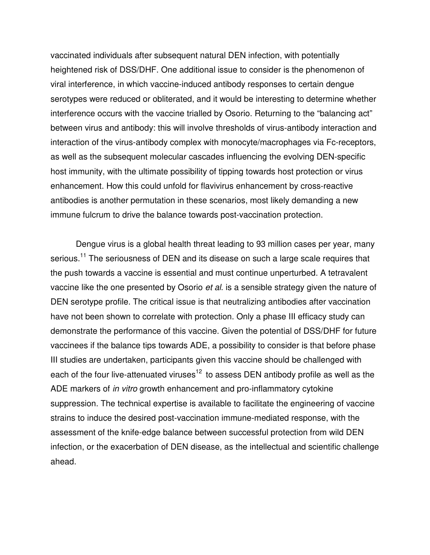vaccinated individuals after subsequent natural DEN infection, with potentially heightened risk of DSS/DHF. One additional issue to consider is the phenomenon of viral interference, in which vaccine-induced antibody responses to certain dengue serotypes were reduced or obliterated, and it would be interesting to determine whether interference occurs with the vaccine trialled by Osorio. Returning to the "balancing act" between virus and antibody: this will involve thresholds of virus-antibody interaction and interaction of the virus-antibody complex with monocyte/macrophages via Fc-receptors, as well as the subsequent molecular cascades influencing the evolving DEN-specific host immunity, with the ultimate possibility of tipping towards host protection or virus enhancement. How this could unfold for flavivirus enhancement by cross-reactive antibodies is another permutation in these scenarios, most likely demanding a new immune fulcrum to drive the balance towards post-vaccination protection.

Dengue virus is a global health threat leading to 93 million cases per year, many serious.<sup>11</sup> The seriousness of DEN and its disease on such a large scale requires that the push towards a vaccine is essential and must continue unperturbed. A tetravalent vaccine like the one presented by Osorio *et al*. is a sensible strategy given the nature of DEN serotype profile. The critical issue is that neutralizing antibodies after vaccination have not been shown to correlate with protection. Only a phase III efficacy study can demonstrate the performance of this vaccine. Given the potential of DSS/DHF for future vaccinees if the balance tips towards ADE, a possibility to consider is that before phase III studies are undertaken, participants given this vaccine should be challenged with each of the four live-attenuated viruses<sup>12</sup> to assess DEN antibody profile as well as the ADE markers of *in vitro* growth enhancement and pro-inflammatory cytokine suppression. The technical expertise is available to facilitate the engineering of vaccine strains to induce the desired post-vaccination immune-mediated response, with the assessment of the knife-edge balance between successful protection from wild DEN infection, or the exacerbation of DEN disease, as the intellectual and scientific challenge ahead.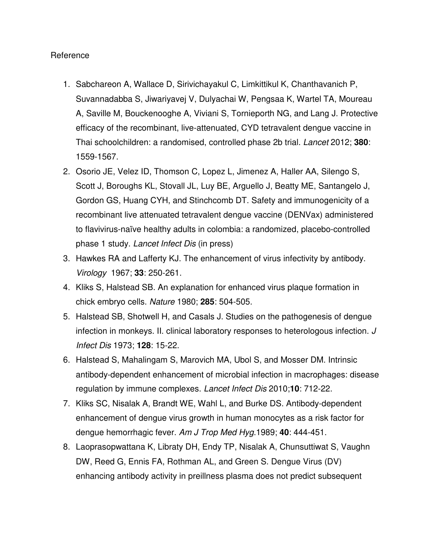## **Reference**

- 1. Sabchareon A, Wallace D, Sirivichayakul C, Limkittikul K, Chanthavanich P, Suvannadabba S, Jiwariyavej V, Dulyachai W, Pengsaa K, Wartel TA, Moureau A, Saville M, Bouckenooghe A, Viviani S, Tornieporth NG, and Lang J. Protective efficacy of the recombinant, live-attenuated, CYD tetravalent dengue vaccine in Thai schoolchildren: a randomised, controlled phase 2b trial. *Lancet* 2012; **380**: 1559-1567.
- 2. Osorio JE, Velez ID, Thomson C, Lopez L, Jimenez A, Haller AA, Silengo S, Scott J, Boroughs KL, Stovall JL, Luy BE, Arguello J, Beatty ME, Santangelo J, Gordon GS, Huang CYH, and Stinchcomb DT. Safety and immunogenicity of a recombinant live attenuated tetravalent dengue vaccine (DENVax) administered to flavivirus-naïve healthy adults in colombia: a randomized, placebo-controlled phase 1 study. *Lancet Infect Dis* (in press)
- 3. Hawkes RA and Lafferty KJ. The enhancement of virus infectivity by antibody. *Virology* 1967; **33**: 250-261.
- 4. Kliks S, Halstead SB. An explanation for enhanced virus plaque formation in chick embryo cells. *Nature* 1980; **285**: 504-505.
- 5. Halstead SB, Shotwell H, and Casals J. Studies on the pathogenesis of dengue infection in monkeys. II. clinical laboratory responses to heterologous infection. *J Infect Dis* 1973; **128**: 15-22.
- 6. Halstead S, Mahalingam S, Marovich MA, Ubol S, and Mosser DM. Intrinsic antibody-dependent enhancement of microbial infection in macrophages: disease regulation by immune complexes. *Lancet Infect Dis* 2010;**10**: 712-22.
- 7. Kliks SC, Nisalak A, Brandt WE, Wahl L, and Burke DS. Antibody-dependent enhancement of dengue virus growth in human monocytes as a risk factor for dengue hemorrhagic fever. *Am J Trop Med Hyg*.1989; **40**: 444-451.
- 8. Laoprasopwattana K, Libraty DH, Endy TP, Nisalak A, Chunsuttiwat S, Vaughn DW, Reed G, Ennis FA, Rothman AL, and Green S. Dengue Virus (DV) enhancing antibody activity in preillness plasma does not predict subsequent